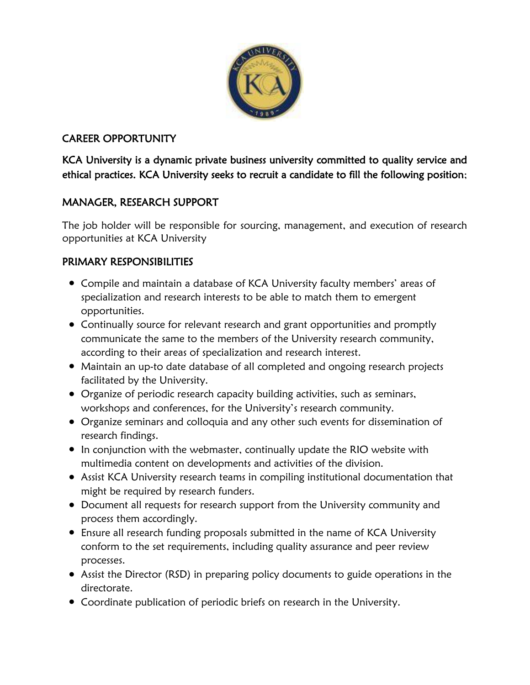

# CAREER OPPORTUNITY

KCA University is a dynamic private business university committed to quality service and ethical practices. KCA University seeks to recruit a candidate to fill the following position;

## MANAGER, RESEARCH SUPPORT

The job holder will be responsible for sourcing, management, and execution of research opportunities at KCA University

## PRIMARY RESPONSIBILITIES

- Compile and maintain a database of KCA University faculty members' areas of specialization and research interests to be able to match them to emergent opportunities.
- Continually source for relevant research and grant opportunities and promptly communicate the same to the members of the University research community, according to their areas of specialization and research interest.
- Maintain an up-to date database of all completed and ongoing research projects facilitated by the University.
- Organize of periodic research capacity building activities, such as seminars, workshops and conferences, for the University's research community.
- Organize seminars and colloquia and any other such events for dissemination of research findings.
- In conjunction with the webmaster, continually update the RIO website with multimedia content on developments and activities of the division.
- Assist KCA University research teams in compiling institutional documentation that might be required by research funders.
- Document all requests for research support from the University community and process them accordingly.
- Ensure all research funding proposals submitted in the name of KCA University conform to the set requirements, including quality assurance and peer review processes.
- Assist the Director (RSD) in preparing policy documents to guide operations in the directorate.
- Coordinate publication of periodic briefs on research in the University.